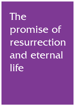The promise of resurrection and eternal life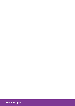www.b-c.org.uk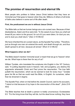# **The promise of resurrection and eternal life**

Most people who profess to follow Jesus Christ believe that they have an 'immortal soul' that goes to heaven when they die. Millions of others of all kinds of faiths also believe in some sort of life after death.

### **First, the predicament we are in without Jesus Christ**

The Bible tells us that we human beings are a sin-cursed race. Because of their disobedience, Adam and Eve were told, *"In the sweat of your face you shall eat bread till you return to the ground, for out of it you were taken, for dust you are, and to dust you shall return." [Gen 3:19 NKJV]*

We have inherited this sin-cursed nature, as the Apostle Paul writes, *"Therefore, just as through one man sin entered the world, and death through sin, and thus death spread to all men, because all sinned." [Rom 5:12 NKJV]*

### **What happens when we die?**

The Bible doesn't mention 'immortal souls' or teach that we go to 'heaven' when we die. What hope is there then for any of us?

William Tyndale, who translated the scriptures into English in the 16<sup>th</sup> Century, said, "In putting departed souls in heaven, hell, and purgatory, you destroy the arguments wherewith Christ and Paul prove the resurrection. The true faith putteth the resurrection, which we be warned to look for every hour." Tyndale gave his life so that we could read the Bible, in English, for ourselves, rather than be drowned in dogma.

The Apostle Paul, when on trial before the Jewish Council, said to his accusers, *"I stand on trial because of my hope in the resurrection of the dead". [Acts 23:6 NIV]*

The Bible teaches that at death a person is totally unconscious: Ecclesiastes 9:5 *"For the living know that they will die, but the dead know nothing; they have*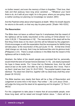*no further reward, and even the memory of them is forgotten. 6 Their love, their hate and their jealousy have long since vanished;* ……*10Whatever your hand finds to do, do it with all your might, for in the grave, where you are going, there is neither working nor planning nor knowledge nor wisdom*. [NIV]

And the Psalmist writes about what happens at death: *'When his breath departs he returns to the earth; on that very day his plans perish.'* [Psalm 146.4 ESV]

### **The Resurrection**

The Bible does not leave us without hope for it emphasises that the reward of the righteous will be bodily resurrection at the coming of Christ *[Daniel 12.2; John 5.28,29; 1 Thessalonians 4.16].* The resurrection of the dead will be the first thing Christ does on his return and this will be followed by the judgement. Christ encourages us with the expectation that the recompense for faithful living will take place *'at the resurrection of the just' [Luke 14.14].* At that time Christ *'shall change our vile body, that it may be fashioned like unto his glorious body' [Philippians 3.21].* There is ample evidence in the Bible that the reward of the righteous will be in bodily form.

Abraham, the father of the Jewish people was promised that he, personally, would inherit the land of Canaan forever [Genesis 13.15]. Job clearly expressed his hope in these words: *'For I know that my Redeemer lives, And He shall stand at last on the earth; And after my skin is destroyed, this I know, That in my flesh I shall see God,*' [Job 19. 25-27 ESV]*.* The prophet Isaiah's hope was identical: '*Thy dead men shall live, together with my dead body shall they arise' [Isaiah 26.19 KJV].*

The Bible teaches very clearly that there will be a Day of Resurrection and Judgement at some time in the future. Paul writes *"...the Lord Jesus Christ ... will judge the living and the dead at his appearing and his kingdom." [2 Tim.4:1 NKJV]*

For this Judgement to take place it means that all accountable people, even those long dead, will be raised and brought before Jesus. *"...there will be a*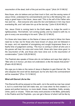*resurrection of the dead, both of the just and the unjust." [Acts 24:15 NKJV]*

Now those, who do believe and put their trust in God, and the saving name of Jesus Christ, understand his commandments and live a life following Him, can enjoy a great hope in the future. Jesus said *"This is the will of the Father who has sent me ... that everyone who sees the Son and believes in him may have everlasting life, and I will raise him up at the last day."* [John 6:39,40 NKJV]

Yes, Jesus Christ is coming back to the Earth **soon**, to Judge the world in righteousness, *"And behold, I am coming quickly, and my reward is with me, to give to every one according to his work."* [Rev 22:12 NKJV]

For those who have taken on the Name of Jesus and tried to follow him there need be no fear, but for those who have known of Jesus and not followed in his ways, and not repented of wrongdoing and sought forgiveness there is a fearful time of judgement coming. *"The hour is coming in which all who are in the graves will hear his voice and come forth, those who have done good, to the resurrection of life, and those who have done evil, to the resurrection of condemnation."* [John 5:28,29 NKJV]

The Psalmist also speaks of those who do not believe and says their plight is: *"Man who is in honour, yet does not understand, is like the beasts that perish."* [Psalm 49:20 NKJV]

We urge you to take on the name of Jesus in Baptism to gain Eternal Life. *"He who despises the word will be destroyed, but he who fears the commandment will be rewarded."* [Prov 13:13 NKJV]

## **What will Eternal Life be like**

This Eternal life will be enjoyed on this earth, not in the world as man has ruined it, but in a world that God will make new, as it was when he first created it, in peace and perfect harmony, no more death, illness, disabilities, frailty, anxiety, crime, panic or viruses. There are many word pictures in the Bible, particularly in the Psalms and the Prophets—you can get a flavour of what it will be like by